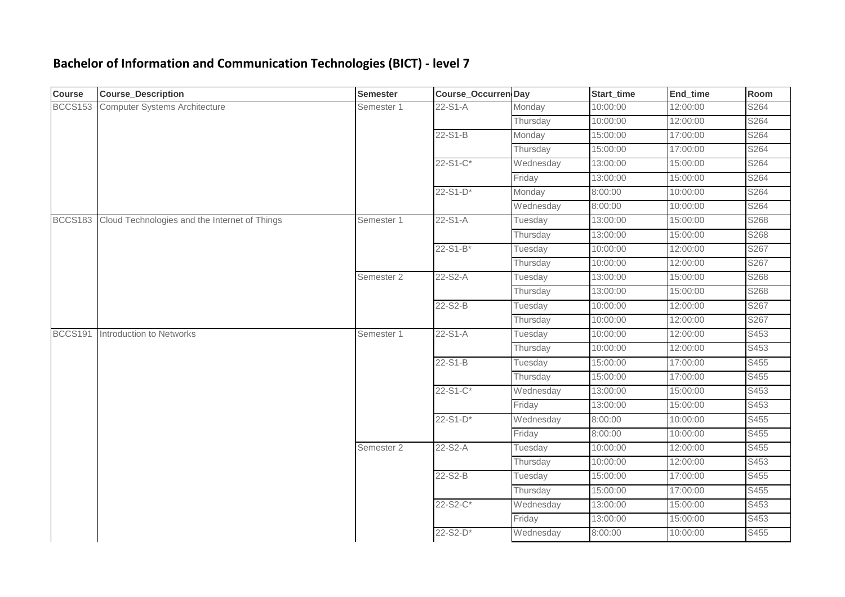## **Bachelor of Information and Communication Technologies (BICT) - level 7**

| <b>Course</b>  | <b>Course_Description</b>                     | <b>Semester</b> | <b>Course_Occurren Day</b> |           | Start_time | End_time | Room |
|----------------|-----------------------------------------------|-----------------|----------------------------|-----------|------------|----------|------|
| <b>BCCS153</b> | <b>Computer Systems Architecture</b>          | Semester 1      | 22-S1-A                    | Monday    | 10:00:00   | 12:00:00 | S264 |
|                |                                               |                 |                            | Thursday  | 10:00:00   | 12:00:00 | S264 |
|                |                                               |                 | 22-S1-B                    | Monday    | 15:00:00   | 17:00:00 | S264 |
|                |                                               |                 |                            | Thursday  | 15:00:00   | 17:00:00 | S264 |
|                |                                               |                 | $22-S1-C$ *                | Wednesday | 13:00:00   | 15:00:00 | S264 |
|                |                                               |                 |                            | Friday    | 13:00:00   | 15:00:00 | S264 |
|                |                                               |                 | $22-S1-D*$                 | Monday    | 8:00:00    | 10:00:00 | S264 |
|                |                                               |                 |                            | Wednesday | 8:00:00    | 10:00:00 | S264 |
| <b>BCCS183</b> | Cloud Technologies and the Internet of Things | Semester 1      | 22-S1-A                    | Tuesday   | 13:00:00   | 15:00:00 | S268 |
|                |                                               |                 |                            | Thursday  | 13:00:00   | 15:00:00 | S268 |
|                |                                               |                 | $22-S1-B*$                 | Tuesday   | 10:00:00   | 12:00:00 | S267 |
|                |                                               |                 |                            | Thursday  | 10:00:00   | 12:00:00 | S267 |
|                |                                               | Semester 2      | 22-S2-A                    | Tuesday   | 13:00:00   | 15:00:00 | S268 |
|                |                                               |                 |                            | Thursday  | 13:00:00   | 15:00:00 | S268 |
|                |                                               |                 | 22-S2-B                    | Tuesday   | 10:00:00   | 12:00:00 | S267 |
|                |                                               |                 |                            | Thursday  | 10:00:00   | 12:00:00 | S267 |
| <b>BCCS191</b> | Introduction to Networks                      | Semester 1      | 22-S1-A                    | Tuesday   | 10:00:00   | 12:00:00 | S453 |
|                |                                               |                 |                            | Thursday  | 10:00:00   | 12:00:00 | S453 |
|                |                                               |                 | 22-S1-B                    | Tuesday   | 15:00:00   | 17:00:00 | S455 |
|                |                                               |                 |                            | Thursday  | 15:00:00   | 17:00:00 | S455 |
|                |                                               |                 | 22-S1-C*                   | Wednesday | 13:00:00   | 15:00:00 | S453 |
|                |                                               |                 |                            | Friday    | 13:00:00   | 15:00:00 | S453 |
|                |                                               |                 | $22-S1-D*$                 | Wednesday | 8:00:00    | 10:00:00 | S455 |
|                |                                               |                 |                            | Friday    | 8:00:00    | 10:00:00 | S455 |
|                |                                               | Semester 2      | 22-S2-A                    | Tuesday   | 10:00:00   | 12:00:00 | S455 |
|                |                                               |                 |                            | Thursday  | 10:00:00   | 12:00:00 | S453 |
|                |                                               |                 | 22-S2-B                    | Tuesday   | 15:00:00   | 17:00:00 | S455 |
|                |                                               |                 |                            | Thursday  | 15:00:00   | 17:00:00 | S455 |
|                |                                               |                 | 22-S2-C*                   | Wednesday | 13:00:00   | 15:00:00 | S453 |
|                |                                               |                 |                            | Friday    | 13:00:00   | 15:00:00 | S453 |
|                |                                               |                 | 22-S2-D*                   | Wednesday | 8:00:00    | 10:00:00 | S455 |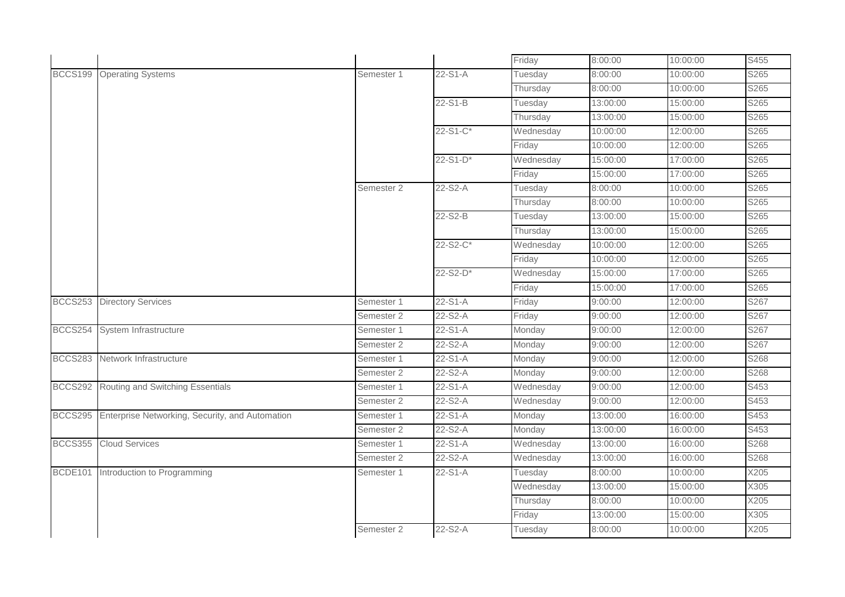|                |                                                         |            |            | Friday    | 8:00:00  | 10:00:00 | S455 |
|----------------|---------------------------------------------------------|------------|------------|-----------|----------|----------|------|
|                | BCCS199 Operating Systems                               | Semester 1 | 22-S1-A    | Tuesday   | 8:00:00  | 10:00:00 | S265 |
|                |                                                         |            |            | Thursday  | 8:00:00  | 10:00:00 | S265 |
|                |                                                         |            | 22-S1-B    | Tuesday   | 13:00:00 | 15:00:00 | S265 |
|                |                                                         |            |            | Thursday  | 13:00:00 | 15:00:00 | S265 |
|                |                                                         |            | 22-S1-C*   | Wednesday | 10:00:00 | 12:00:00 | S265 |
|                |                                                         |            |            | Friday    | 10:00:00 | 12:00:00 | S265 |
|                |                                                         |            | $22-S1-D*$ | Wednesday | 15:00:00 | 17:00:00 | S265 |
|                |                                                         |            |            | Friday    | 15:00:00 | 17:00:00 | S265 |
|                |                                                         | Semester 2 | 22-S2-A    | Tuesday   | 8:00:00  | 10:00:00 | S265 |
|                |                                                         |            |            | Thursday  | 8:00:00  | 10:00:00 | S265 |
|                |                                                         |            | 22-S2-B    | Tuesday   | 13:00:00 | 15:00:00 | S265 |
|                |                                                         |            |            | Thursday  | 13:00:00 | 15:00:00 | S265 |
|                |                                                         |            | 22-S2-C*   | Wednesday | 10:00:00 | 12:00:00 | S265 |
|                |                                                         |            |            | Friday    | 10:00:00 | 12:00:00 | S265 |
|                |                                                         |            | 22-S2-D*   | Wednesday | 15:00:00 | 17:00:00 | S265 |
|                |                                                         |            |            | Friday    | 15:00:00 | 17:00:00 | S265 |
|                | <b>BCCS253</b> Directory Services                       | Semester 1 | 22-S1-A    | Friday    | 9:00:00  | 12:00:00 | S267 |
|                |                                                         | Semester 2 | 22-S2-A    | Friday    | 9:00:00  | 12:00:00 | S267 |
| <b>BCCS254</b> | System Infrastructure                                   | Semester 1 | 22-S1-A    | Monday    | 9:00:00  | 12:00:00 | S267 |
|                |                                                         | Semester 2 | 22-S2-A    | Monday    | 9:00:00  | 12:00:00 | S267 |
|                | BCCS283 Network Infrastructure                          | Semester 1 | 22-S1-A    | Monday    | 9:00:00  | 12:00:00 | S268 |
|                |                                                         | Semester 2 | 22-S2-A    | Monday    | 9:00:00  | 12:00:00 | S268 |
|                | BCCS292 Routing and Switching Essentials                | Semester 1 | 22-S1-A    | Wednesday | 9:00:00  | 12:00:00 | S453 |
|                |                                                         | Semester 2 | 22-S2-A    | Wednesday | 9:00:00  | 12:00:00 | S453 |
|                | BCCS295 Enterprise Networking, Security, and Automation | Semester 1 | 22-S1-A    | Monday    | 13:00:00 | 16:00:00 | S453 |
|                |                                                         | Semester 2 | 22-S2-A    | Monday    | 13:00:00 | 16:00:00 | S453 |
|                | <b>BCCS355</b> Cloud Services                           | Semester 1 | 22-S1-A    | Wednesday | 13:00:00 | 16:00:00 | S268 |
|                |                                                         | Semester 2 | 22-S2-A    | Wednesday | 13:00:00 | 16:00:00 | S268 |
|                | BCDE101 Introduction to Programming                     | Semester 1 | 22-S1-A    | Tuesday   | 8:00:00  | 10:00:00 | X205 |
|                |                                                         |            |            | Wednesday | 13:00:00 | 15:00:00 | X305 |
|                |                                                         |            |            | Thursday  | 8:00:00  | 10:00:00 | X205 |
|                |                                                         |            |            | Friday    | 13:00:00 | 15:00:00 | X305 |
|                |                                                         | Semester 2 | 22-S2-A    | Tuesday   | 8:00:00  | 10:00:00 | X205 |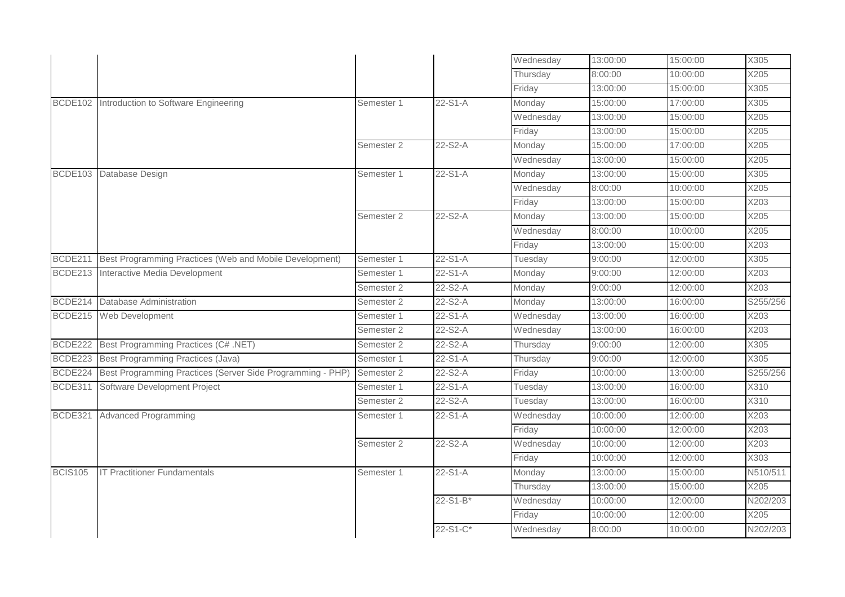|                |                                                            |            |            | Wednesday | 13:00:00 | 15:00:00 | X305     |
|----------------|------------------------------------------------------------|------------|------------|-----------|----------|----------|----------|
|                |                                                            |            |            | Thursday  | 8:00:00  | 10:00:00 | X205     |
|                |                                                            |            |            | Friday    | 13:00:00 | 15:00:00 | X305     |
| <b>BCDE102</b> | Introduction to Software Engineering                       | Semester 1 | $22-S1-A$  | Monday    | 15:00:00 | 17:00:00 | X305     |
|                |                                                            |            |            | Wednesday | 13:00:00 | 15:00:00 | X205     |
|                |                                                            |            |            | Friday    | 13:00:00 | 15:00:00 | X205     |
|                |                                                            | Semester 2 | 22-S2-A    | Monday    | 15:00:00 | 17:00:00 | X205     |
|                |                                                            |            |            | Wednesday | 13:00:00 | 15:00:00 | X205     |
| <b>BCDE103</b> | Database Design                                            | Semester 1 | 22-S1-A    | Monday    | 13:00:00 | 15:00:00 | X305     |
|                |                                                            |            |            | Wednesday | 8:00:00  | 10:00:00 | X205     |
|                |                                                            |            |            | Friday    | 13:00:00 | 15:00:00 | X203     |
|                |                                                            | Semester 2 | 22-S2-A    | Monday    | 13:00:00 | 15:00:00 | X205     |
|                |                                                            |            |            | Wednesday | 8:00:00  | 10:00:00 | X205     |
|                |                                                            |            |            | Friday    | 13:00:00 | 15:00:00 | X203     |
| BCDE211        | Best Programming Practices (Web and Mobile Development)    | Semester 1 | $22-S1-A$  | Tuesday   | 9:00:00  | 12:00:00 | X305     |
| BCDE213        | Interactive Media Development                              | Semester 1 | $22-S1-A$  | Monday    | 9:00:00  | 12:00:00 | X203     |
|                |                                                            | Semester 2 | 22-S2-A    | Monday    | 9:00:00  | 12:00:00 | X203     |
| <b>BCDE214</b> | <b>Database Administration</b>                             | Semester 2 | 22-S2-A    | Monday    | 13:00:00 | 16:00:00 | S255/256 |
| <b>BCDE215</b> | Web Development                                            | Semester 1 | 22-S1-A    | Wednesday | 13:00:00 | 16:00:00 | X203     |
|                |                                                            | Semester 2 | 22-S2-A    | Wednesday | 13:00:00 | 16:00:00 | X203     |
| <b>BCDE222</b> | Best Programming Practices (C# .NET)                       | Semester 2 | 22-S2-A    | Thursday  | 9:00:00  | 12:00:00 | X305     |
| <b>BCDE223</b> | Best Programming Practices (Java)                          | Semester 1 | $22-S1-A$  | Thursday  | 9:00:00  | 12:00:00 | X305     |
| <b>BCDE224</b> | Best Programming Practices (Server Side Programming - PHP) | Semester 2 | 22-S2-A    | Friday    | 10:00:00 | 13:00:00 | S255/256 |
| BCDE311        | Software Development Project                               | Semester 1 | 22-S1-A    | Tuesday   | 13:00:00 | 16:00:00 | X310     |
|                |                                                            | Semester 2 | 22-S2-A    | Tuesday   | 13:00:00 | 16:00:00 | X310     |
| <b>BCDE321</b> | <b>Advanced Programming</b>                                | Semester 1 | 22-S1-A    | Wednesday | 10:00:00 | 12:00:00 | X203     |
|                |                                                            |            |            | Friday    | 10:00:00 | 12:00:00 | X203     |
|                |                                                            | Semester 2 | 22-S2-A    | Wednesday | 10:00:00 | 12:00:00 | X203     |
|                |                                                            |            |            | Friday    | 10:00:00 | 12:00:00 | X303     |
| <b>BCIS105</b> | <b>IT Practitioner Fundamentals</b>                        | Semester 1 | 22-S1-A    | Monday    | 13:00:00 | 15:00:00 | N510/511 |
|                |                                                            |            |            | Thursday  | 13:00:00 | 15:00:00 | X205     |
|                |                                                            |            | $22-S1-B*$ | Wednesday | 10:00:00 | 12:00:00 | N202/203 |
|                |                                                            |            |            | Friday    | 10:00:00 | 12:00:00 | X205     |
|                |                                                            |            | 22-S1-C*   | Wednesday | 8:00:00  | 10:00:00 | N202/203 |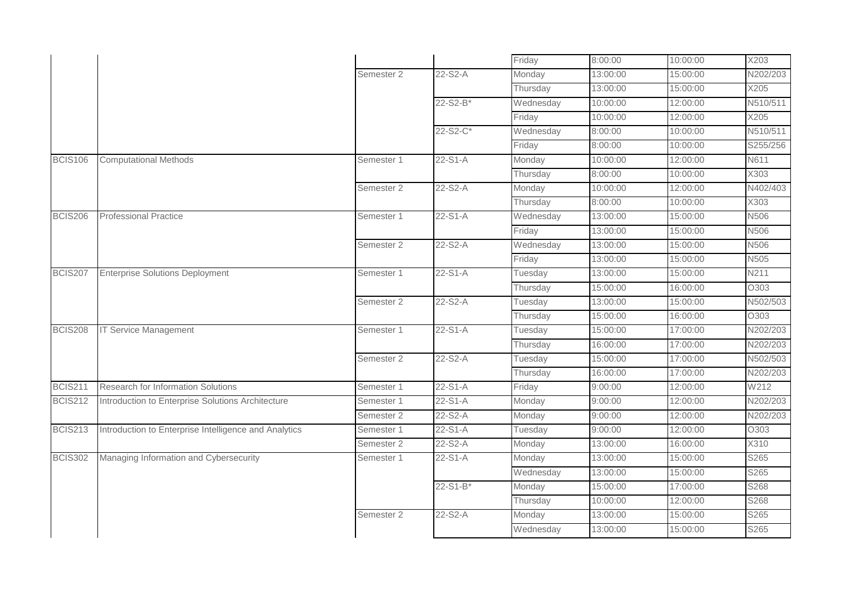|                |                                                       |            |            | Friday    | 8:00:00  | 10:00:00 | X203     |
|----------------|-------------------------------------------------------|------------|------------|-----------|----------|----------|----------|
|                |                                                       | Semester 2 | 22-S2-A    | Monday    | 13:00:00 | 15:00:00 | N202/203 |
|                |                                                       |            |            | Thursday  | 13:00:00 | 15:00:00 | X205     |
|                |                                                       |            | 22-S2-B*   | Wednesday | 10:00:00 | 12:00:00 | N510/511 |
|                |                                                       |            |            | Friday    | 10:00:00 | 12:00:00 | X205     |
|                |                                                       |            | 22-S2-C*   | Wednesday | 8:00:00  | 10:00:00 | N510/511 |
|                |                                                       |            |            | Friday    | 8:00:00  | 10:00:00 | S255/256 |
| <b>BCIS106</b> | <b>Computational Methods</b>                          | Semester 1 | $22-S1-A$  | Monday    | 10:00:00 | 12:00:00 | N611     |
|                |                                                       |            |            | Thursday  | 8:00:00  | 10:00:00 | X303     |
|                |                                                       | Semester 2 | 22-S2-A    | Monday    | 10:00:00 | 12:00:00 | N402/403 |
|                |                                                       |            |            | Thursday  | 8:00:00  | 10:00:00 | X303     |
| <b>BCIS206</b> | <b>Professional Practice</b>                          | Semester 1 | $22-S1-A$  | Wednesday | 13:00:00 | 15:00:00 | N506     |
|                |                                                       |            |            | Friday    | 13:00:00 | 15:00:00 | N506     |
|                |                                                       | Semester 2 | 22-S2-A    | Wednesday | 13:00:00 | 15:00:00 | N506     |
|                |                                                       |            |            | Friday    | 13:00:00 | 15:00:00 | N505     |
| <b>BCIS207</b> | <b>Enterprise Solutions Deployment</b>                | Semester 1 | $22-S1-A$  | Tuesday   | 13:00:00 | 15:00:00 | N211     |
|                |                                                       |            |            | Thursday  | 15:00:00 | 16:00:00 | O303     |
|                |                                                       | Semester 2 | 22-S2-A    | Tuesday   | 13:00:00 | 15:00:00 | N502/503 |
|                |                                                       |            |            | Thursday  | 15:00:00 | 16:00:00 | O303     |
| <b>BCIS208</b> | <b>IT Service Management</b>                          | Semester 1 | $22-S1-A$  | Tuesday   | 15:00:00 | 17:00:00 | N202/203 |
|                |                                                       |            |            | Thursday  | 16:00:00 | 17:00:00 | N202/203 |
|                |                                                       | Semester 2 | 22-S2-A    | Tuesday   | 15:00:00 | 17:00:00 | N502/503 |
|                |                                                       |            |            | Thursday  | 16:00:00 | 17:00:00 | N202/203 |
| <b>BCIS211</b> | Research for Information Solutions                    | Semester 1 | $22-S1-A$  | Friday    | 9:00:00  | 12:00:00 | W212     |
| <b>BCIS212</b> | Introduction to Enterprise Solutions Architecture     | Semester 1 | $22-S1-A$  | Monday    | 9:00:00  | 12:00:00 | N202/203 |
|                |                                                       | Semester 2 | 22-S2-A    | Monday    | 9:00:00  | 12:00:00 | N202/203 |
| <b>BCIS213</b> | Introduction to Enterprise Intelligence and Analytics | Semester 1 | 22-S1-A    | Tuesday   | 9:00:00  | 12:00:00 | O303     |
|                |                                                       | Semester 2 | 22-S2-A    | Monday    | 13:00:00 | 16:00:00 | X310     |
| <b>BCIS302</b> | Managing Information and Cybersecurity                | Semester 1 | 22-S1-A    | Monday    | 13:00:00 | 15:00:00 | S265     |
|                |                                                       |            |            | Wednesday | 13:00:00 | 15:00:00 | S265     |
|                |                                                       |            | $22-S1-B*$ | Monday    | 15:00:00 | 17:00:00 | S268     |
|                |                                                       |            |            | Thursday  | 10:00:00 | 12:00:00 | S268     |
|                |                                                       | Semester 2 | 22-S2-A    | Monday    | 13:00:00 | 15:00:00 | S265     |
|                |                                                       |            |            | Wednesday | 13:00:00 | 15:00:00 | S265     |